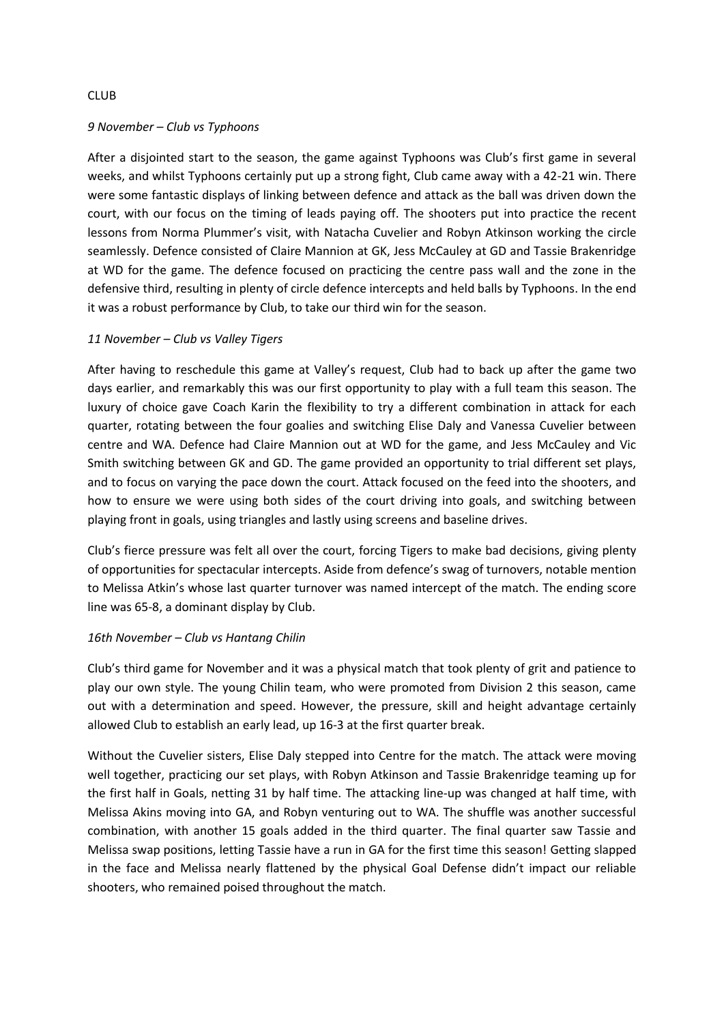#### CLUB

#### *9 November – Club vs Typhoons*

After a disjointed start to the season, the game against Typhoons was Club's first game in several weeks, and whilst Typhoons certainly put up a strong fight, Club came away with a 42-21 win. There were some fantastic displays of linking between defence and attack as the ball was driven down the court, with our focus on the timing of leads paying off. The shooters put into practice the recent lessons from Norma Plummer's visit, with Natacha Cuvelier and Robyn Atkinson working the circle seamlessly. Defence consisted of Claire Mannion at GK, Jess McCauley at GD and Tassie Brakenridge at WD for the game. The defence focused on practicing the centre pass wall and the zone in the defensive third, resulting in plenty of circle defence intercepts and held balls by Typhoons. In the end it was a robust performance by Club, to take our third win for the season.

#### *11 November – Club vs Valley Tigers*

After having to reschedule this game at Valley's request, Club had to back up after the game two days earlier, and remarkably this was our first opportunity to play with a full team this season. The luxury of choice gave Coach Karin the flexibility to try a different combination in attack for each quarter, rotating between the four goalies and switching Elise Daly and Vanessa Cuvelier between centre and WA. Defence had Claire Mannion out at WD for the game, and Jess McCauley and Vic Smith switching between GK and GD. The game provided an opportunity to trial different set plays, and to focus on varying the pace down the court. Attack focused on the feed into the shooters, and how to ensure we were using both sides of the court driving into goals, and switching between playing front in goals, using triangles and lastly using screens and baseline drives.

Club's fierce pressure was felt all over the court, forcing Tigers to make bad decisions, giving plenty of opportunities for spectacular intercepts. Aside from defence's swag of turnovers, notable mention to Melissa Atkin's whose last quarter turnover was named intercept of the match. The ending score line was 65-8, a dominant display by Club.

### *16th November – Club vs Hantang Chilin*

Club's third game for November and it was a physical match that took plenty of grit and patience to play our own style. The young Chilin team, who were promoted from Division 2 this season, came out with a determination and speed. However, the pressure, skill and height advantage certainly allowed Club to establish an early lead, up 16-3 at the first quarter break.

Without the Cuvelier sisters, Elise Daly stepped into Centre for the match. The attack were moving well together, practicing our set plays, with Robyn Atkinson and Tassie Brakenridge teaming up for the first half in Goals, netting 31 by half time. The attacking line-up was changed at half time, with Melissa Akins moving into GA, and Robyn venturing out to WA. The shuffle was another successful combination, with another 15 goals added in the third quarter. The final quarter saw Tassie and Melissa swap positions, letting Tassie have a run in GA for the first time this season! Getting slapped in the face and Melissa nearly flattened by the physical Goal Defense didn't impact our reliable shooters, who remained poised throughout the match.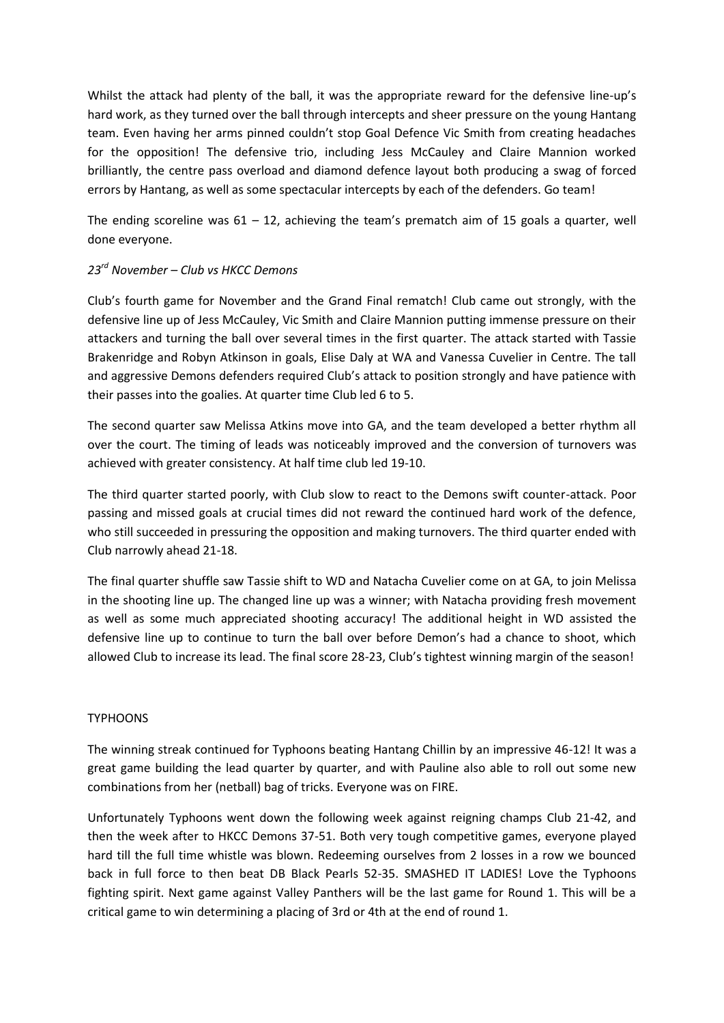Whilst the attack had plenty of the ball, it was the appropriate reward for the defensive line-up's hard work, as they turned over the ball through intercepts and sheer pressure on the young Hantang team. Even having her arms pinned couldn't stop Goal Defence Vic Smith from creating headaches for the opposition! The defensive trio, including Jess McCauley and Claire Mannion worked brilliantly, the centre pass overload and diamond defence layout both producing a swag of forced errors by Hantang, as well as some spectacular intercepts by each of the defenders. Go team!

The ending scoreline was  $61 - 12$ , achieving the team's prematch aim of 15 goals a quarter, well done everyone.

# *23rd November – Club vs HKCC Demons*

Club's fourth game for November and the Grand Final rematch! Club came out strongly, with the defensive line up of Jess McCauley, Vic Smith and Claire Mannion putting immense pressure on their attackers and turning the ball over several times in the first quarter. The attack started with Tassie Brakenridge and Robyn Atkinson in goals, Elise Daly at WA and Vanessa Cuvelier in Centre. The tall and aggressive Demons defenders required Club's attack to position strongly and have patience with their passes into the goalies. At quarter time Club led 6 to 5.

The second quarter saw Melissa Atkins move into GA, and the team developed a better rhythm all over the court. The timing of leads was noticeably improved and the conversion of turnovers was achieved with greater consistency. At half time club led 19-10.

The third quarter started poorly, with Club slow to react to the Demons swift counter-attack. Poor passing and missed goals at crucial times did not reward the continued hard work of the defence, who still succeeded in pressuring the opposition and making turnovers. The third quarter ended with Club narrowly ahead 21-18.

The final quarter shuffle saw Tassie shift to WD and Natacha Cuvelier come on at GA, to join Melissa in the shooting line up. The changed line up was a winner; with Natacha providing fresh movement as well as some much appreciated shooting accuracy! The additional height in WD assisted the defensive line up to continue to turn the ball over before Demon's had a chance to shoot, which allowed Club to increase its lead. The final score 28-23, Club's tightest winning margin of the season!

# **TYPHOONS**

The winning streak continued for Typhoons beating Hantang Chillin by an impressive 46-12! It was a great game building the lead quarter by quarter, and with Pauline also able to roll out some new combinations from her (netball) bag of tricks. Everyone was on FIRE.

Unfortunately Typhoons went down the following week against reigning champs Club 21-42, and then the week after to HKCC Demons 37-51. Both very tough competitive games, everyone played hard till the full time whistle was blown. Redeeming ourselves from 2 losses in a row we bounced back in full force to then beat DB Black Pearls 52-35. SMASHED IT LADIES! Love the Typhoons fighting spirit. Next game against Valley Panthers will be the last game for Round 1. This will be a critical game to win determining a placing of 3rd or 4th at the end of round 1.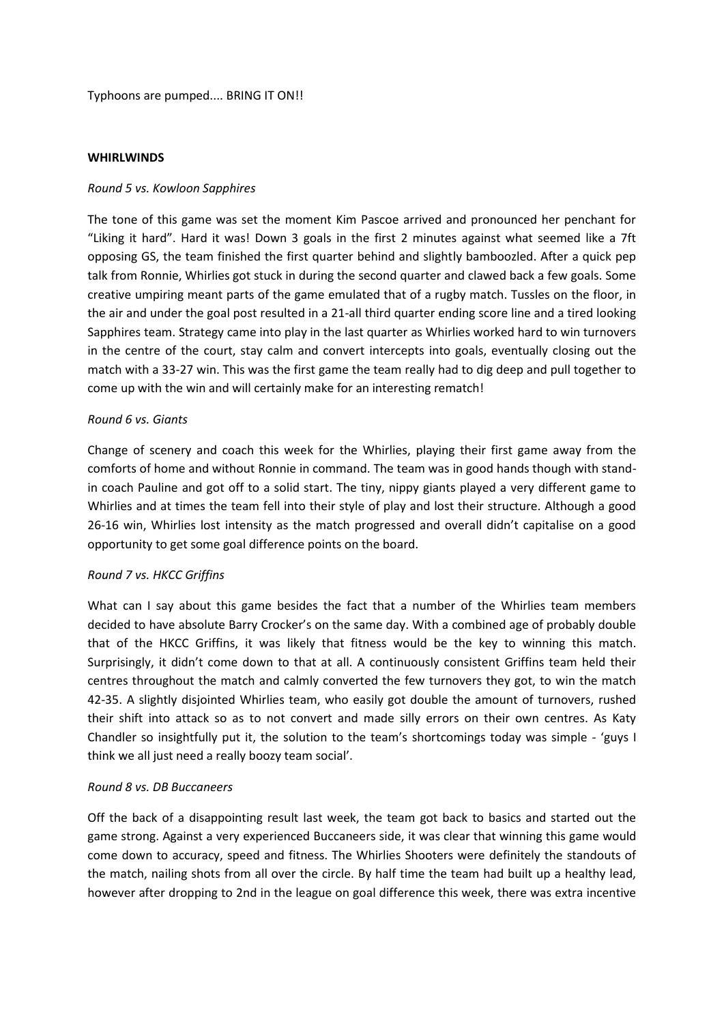Typhoons are pumped.... BRING IT ON!!

#### **WHIRLWINDS**

#### *Round 5 vs. Kowloon Sapphires*

The tone of this game was set the moment Kim Pascoe arrived and pronounced her penchant for "Liking it hard". Hard it was! Down 3 goals in the first 2 minutes against what seemed like a 7ft opposing GS, the team finished the first quarter behind and slightly bamboozled. After a quick pep talk from Ronnie, Whirlies got stuck in during the second quarter and clawed back a few goals. Some creative umpiring meant parts of the game emulated that of a rugby match. Tussles on the floor, in the air and under the goal post resulted in a 21-all third quarter ending score line and a tired looking Sapphires team. Strategy came into play in the last quarter as Whirlies worked hard to win turnovers in the centre of the court, stay calm and convert intercepts into goals, eventually closing out the match with a 33-27 win. This was the first game the team really had to dig deep and pull together to come up with the win and will certainly make for an interesting rematch!

#### *Round 6 vs. Giants*

Change of scenery and coach this week for the Whirlies, playing their first game away from the comforts of home and without Ronnie in command. The team was in good hands though with standin coach Pauline and got off to a solid start. The tiny, nippy giants played a very different game to Whirlies and at times the team fell into their style of play and lost their structure. Although a good 26-16 win, Whirlies lost intensity as the match progressed and overall didn't capitalise on a good opportunity to get some goal difference points on the board.

### *Round 7 vs. HKCC Griffins*

What can I say about this game besides the fact that a number of the Whirlies team members decided to have absolute Barry Crocker's on the same day. With a combined age of probably double that of the HKCC Griffins, it was likely that fitness would be the key to winning this match. Surprisingly, it didn't come down to that at all. A continuously consistent Griffins team held their centres throughout the match and calmly converted the few turnovers they got, to win the match 42-35. A slightly disjointed Whirlies team, who easily got double the amount of turnovers, rushed their shift into attack so as to not convert and made silly errors on their own centres. As Katy Chandler so insightfully put it, the solution to the team's shortcomings today was simple - 'guys I think we all just need a really boozy team social'.

#### *Round 8 vs. DB Buccaneers*

Off the back of a disappointing result last week, the team got back to basics and started out the game strong. Against a very experienced Buccaneers side, it was clear that winning this game would come down to accuracy, speed and fitness. The Whirlies Shooters were definitely the standouts of the match, nailing shots from all over the circle. By half time the team had built up a healthy lead, however after dropping to 2nd in the league on goal difference this week, there was extra incentive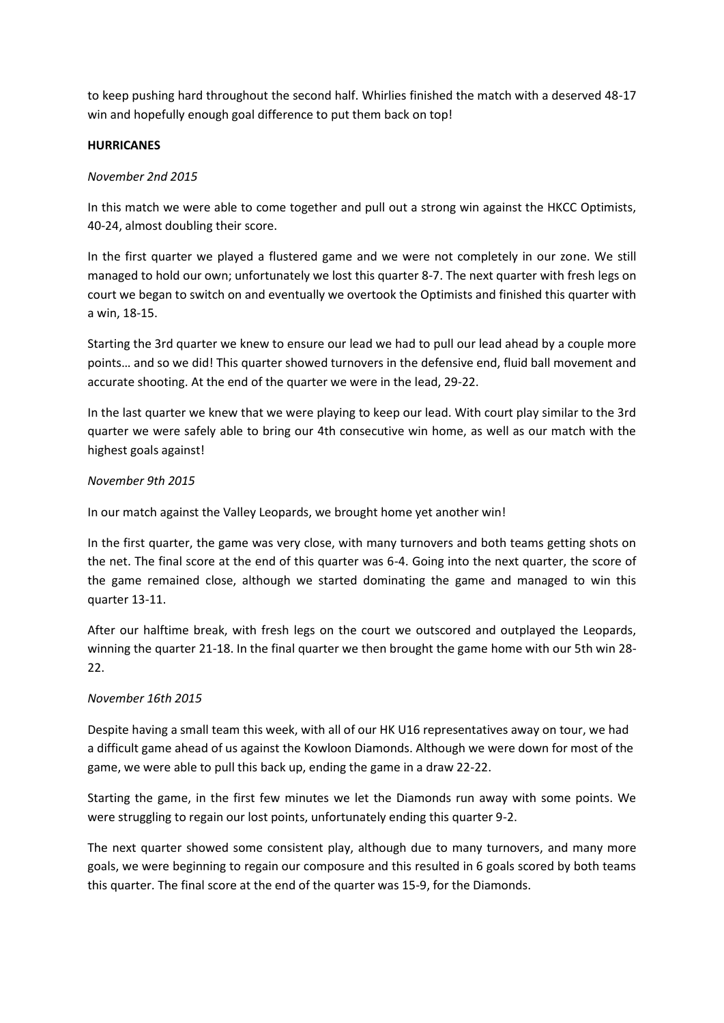to keep pushing hard throughout the second half. Whirlies finished the match with a deserved 48-17 win and hopefully enough goal difference to put them back on top!

### **HURRICANES**

## *November 2nd 2015*

In this match we were able to come together and pull out a strong win against the HKCC Optimists, 40-24, almost doubling their score.

In the first quarter we played a flustered game and we were not completely in our zone. We still managed to hold our own; unfortunately we lost this quarter 8-7. The next quarter with fresh legs on court we began to switch on and eventually we overtook the Optimists and finished this quarter with a win, 18-15.

Starting the 3rd quarter we knew to ensure our lead we had to pull our lead ahead by a couple more points… and so we did! This quarter showed turnovers in the defensive end, fluid ball movement and accurate shooting. At the end of the quarter we were in the lead, 29-22.

In the last quarter we knew that we were playing to keep our lead. With court play similar to the 3rd quarter we were safely able to bring our 4th consecutive win home, as well as our match with the highest goals against!

## *November 9th 2015*

In our match against the Valley Leopards, we brought home yet another win!

In the first quarter, the game was very close, with many turnovers and both teams getting shots on the net. The final score at the end of this quarter was 6-4. Going into the next quarter, the score of the game remained close, although we started dominating the game and managed to win this quarter 13-11.

After our halftime break, with fresh legs on the court we outscored and outplayed the Leopards, winning the quarter 21-18. In the final quarter we then brought the game home with our 5th win 28- 22.

# *November 16th 2015*

Despite having a small team this week, with all of our HK U16 representatives away on tour, we had a difficult game ahead of us against the Kowloon Diamonds. Although we were down for most of the game, we were able to pull this back up, ending the game in a draw 22-22.

Starting the game, in the first few minutes we let the Diamonds run away with some points. We were struggling to regain our lost points, unfortunately ending this quarter 9-2.

The next quarter showed some consistent play, although due to many turnovers, and many more goals, we were beginning to regain our composure and this resulted in 6 goals scored by both teams this quarter. The final score at the end of the quarter was 15-9, for the Diamonds.